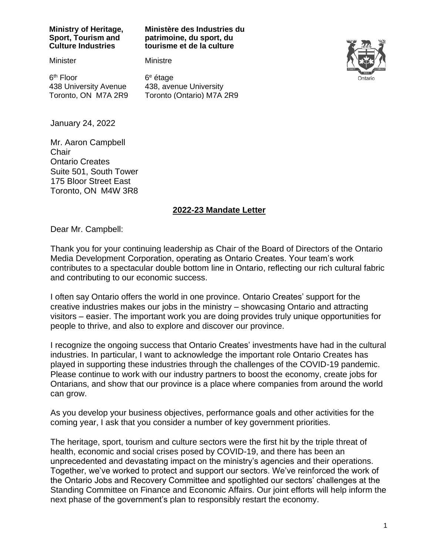#### **Ministry of Heritage, Sport, Tourism and Culture Industries**

#### **Ministère des Industries du patrimoine, du sport, du tourisme et de la culture**

**Minister** 

6<sup>th</sup> Floor 438 University Avenue Toronto, ON M7A 2R9 6 <sup>e</sup> étage

Ministre



438, avenue University Toronto (Ontario) M7A 2R9

January 24, 2022

Mr. Aaron Campbell **Chair** Ontario Creates Suite 501, South Tower 175 Bloor Street East Toronto, ON M4W 3R8

### **2022-23 Mandate Letter**

Dear Mr. Campbell:

Thank you for your continuing leadership as Chair of the Board of Directors of the Ontario Media Development Corporation, operating as Ontario Creates. Your team's work contributes to a spectacular double bottom line in Ontario, reflecting our rich cultural fabric and contributing to our economic success.

I often say Ontario offers the world in one province. Ontario Creates' support for the creative industries makes our jobs in the ministry – showcasing Ontario and attracting visitors – easier. The important work you are doing provides truly unique opportunities for people to thrive, and also to explore and discover our province.

I recognize the ongoing success that Ontario Creates' investments have had in the cultural industries. In particular, I want to acknowledge the important role Ontario Creates has played in supporting these industries through the challenges of the COVID-19 pandemic. Please continue to work with our industry partners to boost the economy, create jobs for Ontarians, and show that our province is a place where companies from around the world can grow.

As you develop your business objectives, performance goals and other activities for the coming year, I ask that you consider a number of key government priorities.

The heritage, sport, tourism and culture sectors were the first hit by the triple threat of health, economic and social crises posed by COVID-19, and there has been an unprecedented and devastating impact on the ministry's agencies and their operations. Together, we've worked to protect and support our sectors. We've reinforced the work of the Ontario Jobs and Recovery Committee and spotlighted our sectors' challenges at the Standing Committee on Finance and Economic Affairs. Our joint efforts will help inform the next phase of the government's plan to responsibly restart the economy.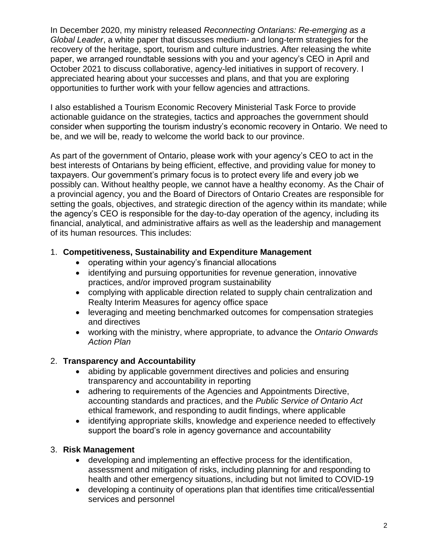In December 2020, my ministry released *Reconnecting Ontarians: Re-emerging as a Global Leader*, a white paper that discusses medium- and long-term strategies for the recovery of the heritage, sport, tourism and culture industries. After releasing the white paper, we arranged roundtable sessions with you and your agency's CEO in April and October 2021 to discuss collaborative, agency-led initiatives in support of recovery. I appreciated hearing about your successes and plans, and that you are exploring opportunities to further work with your fellow agencies and attractions.

I also established a Tourism Economic Recovery Ministerial Task Force to provide actionable guidance on the strategies, tactics and approaches the government should consider when supporting the tourism industry's economic recovery in Ontario. We need to be, and we will be, ready to welcome the world back to our province.

As part of the government of Ontario, please work with your agency's CEO to act in the best interests of Ontarians by being efficient, effective, and providing value for money to taxpayers. Our government's primary focus is to protect every life and every job we possibly can. Without healthy people, we cannot have a healthy economy. As the Chair of a provincial agency, you and the Board of Directors of Ontario Creates are responsible for setting the goals, objectives, and strategic direction of the agency within its mandate; while the agency's CEO is responsible for the day-to-day operation of the agency, including its financial, analytical, and administrative affairs as well as the leadership and management of its human resources. This includes:

## 1. **Competitiveness, Sustainability and Expenditure Management**

- operating within your agency's financial allocations
- identifying and pursuing opportunities for revenue generation, innovative practices, and/or improved program sustainability
- complying with applicable direction related to supply chain centralization and Realty Interim Measures for agency office space
- leveraging and meeting benchmarked outcomes for compensation strategies and directives
- working with the ministry, where appropriate, to advance the *Ontario Onwards Action Plan*

# 2. **Transparency and Accountability**

- abiding by applicable government directives and policies and ensuring transparency and accountability in reporting
- adhering to requirements of the Agencies and Appointments Directive, accounting standards and practices, and the *Public Service of Ontario Act* ethical framework, and responding to audit findings, where applicable
- identifying appropriate skills, knowledge and experience needed to effectively support the board's role in agency governance and accountability

# 3. **Risk Management**

- developing and implementing an effective process for the identification, assessment and mitigation of risks, including planning for and responding to health and other emergency situations, including but not limited to COVID-19
- developing a continuity of operations plan that identifies time critical/essential services and personnel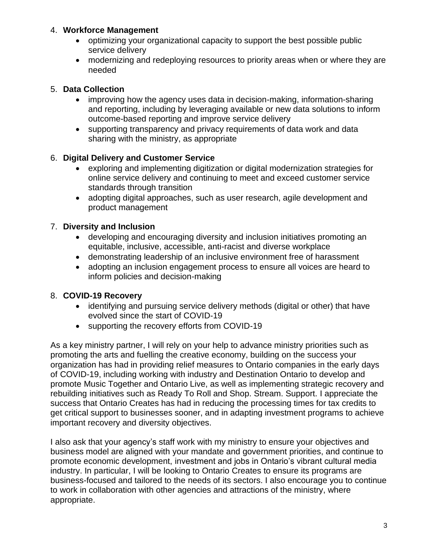### 4. **Workforce Management**

- optimizing your organizational capacity to support the best possible public service delivery
- modernizing and redeploying resources to priority areas when or where they are needed

## 5. **Data Collection**

- improving how the agency uses data in decision-making, information-sharing and reporting, including by leveraging available or new data solutions to inform outcome-based reporting and improve service delivery
- supporting transparency and privacy requirements of data work and data sharing with the ministry, as appropriate

## 6. **Digital Delivery and Customer Service**

- exploring and implementing digitization or digital modernization strategies for online service delivery and continuing to meet and exceed customer service standards through transition
- adopting digital approaches, such as user research, agile development and product management

# 7. **Diversity and Inclusion**

- developing and encouraging diversity and inclusion initiatives promoting an equitable, inclusive, accessible, anti-racist and diverse workplace
- demonstrating leadership of an inclusive environment free of harassment
- adopting an inclusion engagement process to ensure all voices are heard to inform policies and decision-making

# 8. **COVID-19 Recovery**

- identifying and pursuing service delivery methods (digital or other) that have evolved since the start of COVID-19
- supporting the recovery efforts from COVID-19

As a key ministry partner, I will rely on your help to advance ministry priorities such as promoting the arts and fuelling the creative economy, building on the success your organization has had in providing relief measures to Ontario companies in the early days of COVID-19, including working with industry and Destination Ontario to develop and promote Music Together and Ontario Live, as well as implementing strategic recovery and rebuilding initiatives such as Ready To Roll and Shop. Stream. Support. I appreciate the success that Ontario Creates has had in reducing the processing times for tax credits to get critical support to businesses sooner, and in adapting investment programs to achieve important recovery and diversity objectives.

I also ask that your agency's staff work with my ministry to ensure your objectives and business model are aligned with your mandate and government priorities, and continue to promote economic development, investment and jobs in Ontario's vibrant cultural media industry. In particular, I will be looking to Ontario Creates to ensure its programs are business-focused and tailored to the needs of its sectors. I also encourage you to continue to work in collaboration with other agencies and attractions of the ministry, where appropriate.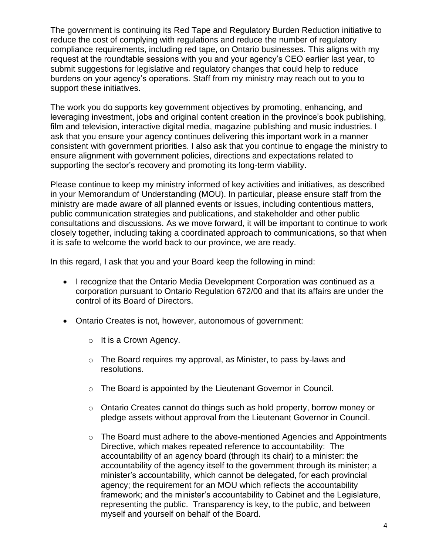The government is continuing its Red Tape and Regulatory Burden Reduction initiative to reduce the cost of complying with regulations and reduce the number of regulatory compliance requirements, including red tape, on Ontario businesses. This aligns with my request at the roundtable sessions with you and your agency's CEO earlier last year, to submit suggestions for legislative and regulatory changes that could help to reduce burdens on your agency's operations. Staff from my ministry may reach out to you to support these initiatives.

The work you do supports key government objectives by promoting, enhancing, and leveraging investment, jobs and original content creation in the province's book publishing, film and television, interactive digital media, magazine publishing and music industries. I ask that you ensure your agency continues delivering this important work in a manner consistent with government priorities. I also ask that you continue to engage the ministry to ensure alignment with government policies, directions and expectations related to supporting the sector's recovery and promoting its long-term viability.

Please continue to keep my ministry informed of key activities and initiatives, as described in your Memorandum of Understanding (MOU). In particular, please ensure staff from the ministry are made aware of all planned events or issues, including contentious matters, public communication strategies and publications, and stakeholder and other public consultations and discussions. As we move forward, it will be important to continue to work closely together, including taking a coordinated approach to communications, so that when it is safe to welcome the world back to our province, we are ready.

In this regard, I ask that you and your Board keep the following in mind:

- I recognize that the Ontario Media Development Corporation was continued as a corporation pursuant to Ontario Regulation 672/00 and that its affairs are under the control of its Board of Directors.
- Ontario Creates is not, however, autonomous of government:
	- $\circ$  It is a Crown Agency.
	- o The Board requires my approval, as Minister, to pass by-laws and resolutions.
	- o The Board is appointed by the Lieutenant Governor in Council.
	- o Ontario Creates cannot do things such as hold property, borrow money or pledge assets without approval from the Lieutenant Governor in Council.
	- $\circ$  The Board must adhere to the above-mentioned Agencies and Appointments Directive, which makes repeated reference to accountability: The accountability of an agency board (through its chair) to a minister: the accountability of the agency itself to the government through its minister; a minister's accountability, which cannot be delegated, for each provincial agency; the requirement for an MOU which reflects the accountability framework; and the minister's accountability to Cabinet and the Legislature, representing the public. Transparency is key, to the public, and between myself and yourself on behalf of the Board.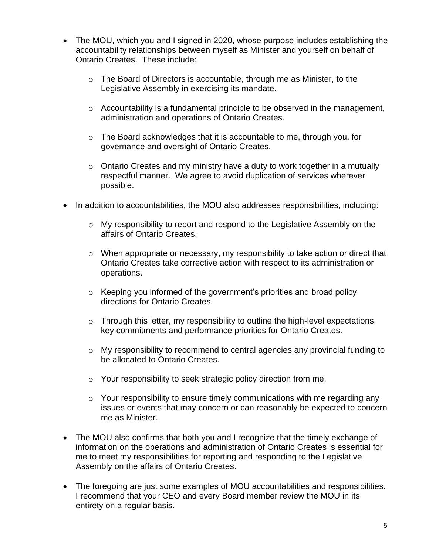- The MOU, which you and I signed in 2020, whose purpose includes establishing the accountability relationships between myself as Minister and yourself on behalf of Ontario Creates. These include:
	- $\circ$  The Board of Directors is accountable, through me as Minister, to the Legislative Assembly in exercising its mandate.
	- $\circ$  Accountability is a fundamental principle to be observed in the management, administration and operations of Ontario Creates.
	- $\circ$  The Board acknowledges that it is accountable to me, through you, for governance and oversight of Ontario Creates.
	- $\circ$  Ontario Creates and my ministry have a duty to work together in a mutually respectful manner. We agree to avoid duplication of services wherever possible.
- In addition to accountabilities, the MOU also addresses responsibilities, including:
	- o My responsibility to report and respond to the Legislative Assembly on the affairs of Ontario Creates.
	- o When appropriate or necessary, my responsibility to take action or direct that Ontario Creates take corrective action with respect to its administration or operations.
	- $\circ$  Keeping you informed of the government's priorities and broad policy directions for Ontario Creates.
	- $\circ$  Through this letter, my responsibility to outline the high-level expectations, key commitments and performance priorities for Ontario Creates.
	- o My responsibility to recommend to central agencies any provincial funding to be allocated to Ontario Creates.
	- o Your responsibility to seek strategic policy direction from me.
	- $\circ$  Your responsibility to ensure timely communications with me regarding any issues or events that may concern or can reasonably be expected to concern me as Minister.
- The MOU also confirms that both you and I recognize that the timely exchange of information on the operations and administration of Ontario Creates is essential for me to meet my responsibilities for reporting and responding to the Legislative Assembly on the affairs of Ontario Creates.
- The foregoing are just some examples of MOU accountabilities and responsibilities. I recommend that your CEO and every Board member review the MOU in its entirety on a regular basis.